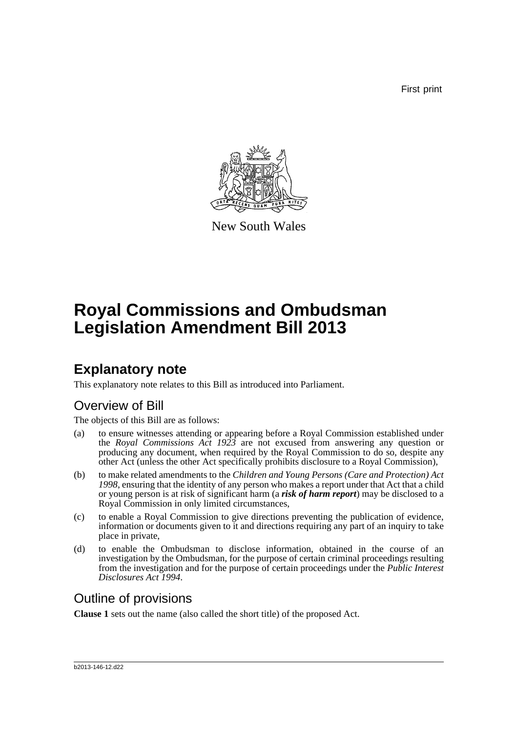First print



New South Wales

# **Royal Commissions and Ombudsman Legislation Amendment Bill 2013**

## **Explanatory note**

This explanatory note relates to this Bill as introduced into Parliament.

## Overview of Bill

The objects of this Bill are as follows:

- (a) to ensure witnesses attending or appearing before a Royal Commission established under the *Royal Commissions Act 1923* are not excused from answering any question or producing any document, when required by the Royal Commission to do so, despite any other Act (unless the other Act specifically prohibits disclosure to a Royal Commission),
- (b) to make related amendments to the *Children and Young Persons (Care and Protection) Act 1998*, ensuring that the identity of any person who makes a report under that Act that a child or young person is at risk of significant harm (a *risk of harm report*) may be disclosed to a Royal Commission in only limited circumstances,
- (c) to enable a Royal Commission to give directions preventing the publication of evidence, information or documents given to it and directions requiring any part of an inquiry to take place in private,
- (d) to enable the Ombudsman to disclose information, obtained in the course of an investigation by the Ombudsman, for the purpose of certain criminal proceedings resulting from the investigation and for the purpose of certain proceedings under the *Public Interest Disclosures Act 1994*.

## Outline of provisions

**Clause 1** sets out the name (also called the short title) of the proposed Act.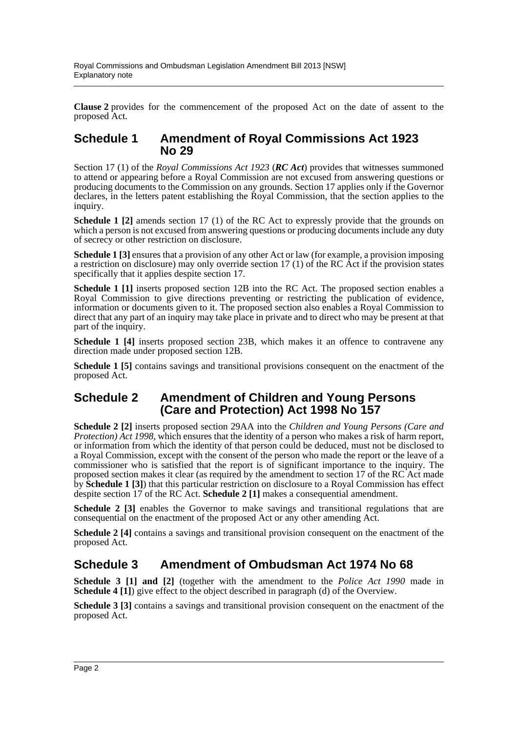**Clause 2** provides for the commencement of the proposed Act on the date of assent to the proposed Act.

### **Schedule 1 Amendment of Royal Commissions Act 1923 No 29**

Section 17 (1) of the *Royal Commissions Act 1923* (*RC Act*) provides that witnesses summoned to attend or appearing before a Royal Commission are not excused from answering questions or producing documents to the Commission on any grounds. Section 17 applies only if the Governor declares, in the letters patent establishing the Royal Commission, that the section applies to the inquiry.

**Schedule 1 [2]** amends section 17 (1) of the RC Act to expressly provide that the grounds on which a person is not excused from answering questions or producing documents include any duty of secrecy or other restriction on disclosure.

**Schedule 1** [3] ensures that a provision of any other Act or law (for example, a provision imposing a restriction on disclosure) may only override section 17 (1) of the RC Act if the provision states specifically that it applies despite section 17.

**Schedule 1 [1]** inserts proposed section 12B into the RC Act. The proposed section enables a Royal Commission to give directions preventing or restricting the publication of evidence, information or documents given to it. The proposed section also enables a Royal Commission to direct that any part of an inquiry may take place in private and to direct who may be present at that part of the inquiry.

**Schedule 1 [4]** inserts proposed section 23B, which makes it an offence to contravene any direction made under proposed section 12B.

**Schedule 1 [5]** contains savings and transitional provisions consequent on the enactment of the proposed Act.

### **Schedule 2 Amendment of Children and Young Persons (Care and Protection) Act 1998 No 157**

**Schedule 2 [2]** inserts proposed section 29AA into the *Children and Young Persons (Care and Protection) Act 1998*, which ensures that the identity of a person who makes a risk of harm report, or information from which the identity of that person could be deduced, must not be disclosed to a Royal Commission, except with the consent of the person who made the report or the leave of a commissioner who is satisfied that the report is of significant importance to the inquiry. The proposed section makes it clear (as required by the amendment to section 17 of the RC Act made by **Schedule 1 [3]**) that this particular restriction on disclosure to a Royal Commission has effect despite section 17 of the RC Act. **Schedule 2 [1]** makes a consequential amendment.

**Schedule 2 [3]** enables the Governor to make savings and transitional regulations that are consequential on the enactment of the proposed Act or any other amending Act.

**Schedule 2** [4] contains a savings and transitional provision consequent on the enactment of the proposed Act.

### **Schedule 3 Amendment of Ombudsman Act 1974 No 68**

**Schedule 3 [1] and [2]** (together with the amendment to the *Police Act 1990* made in **Schedule 4 [1]**) give effect to the object described in paragraph (d) of the Overview.

**Schedule 3** [3] contains a savings and transitional provision consequent on the enactment of the proposed Act.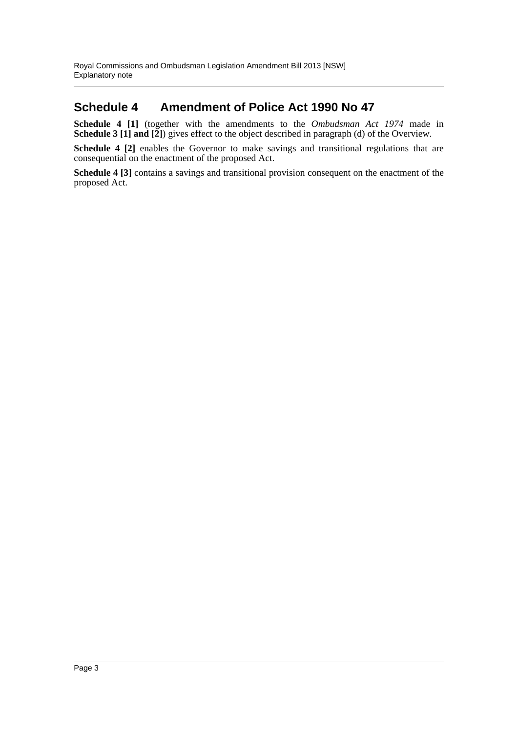### **Schedule 4 Amendment of Police Act 1990 No 47**

**Schedule 4 [1]** (together with the amendments to the *Ombudsman Act 1974* made in **Schedule 3 [1] and [2]**) gives effect to the object described in paragraph (d) of the Overview.

**Schedule 4 [2]** enables the Governor to make savings and transitional regulations that are consequential on the enactment of the proposed Act.

**Schedule 4 [3]** contains a savings and transitional provision consequent on the enactment of the proposed Act.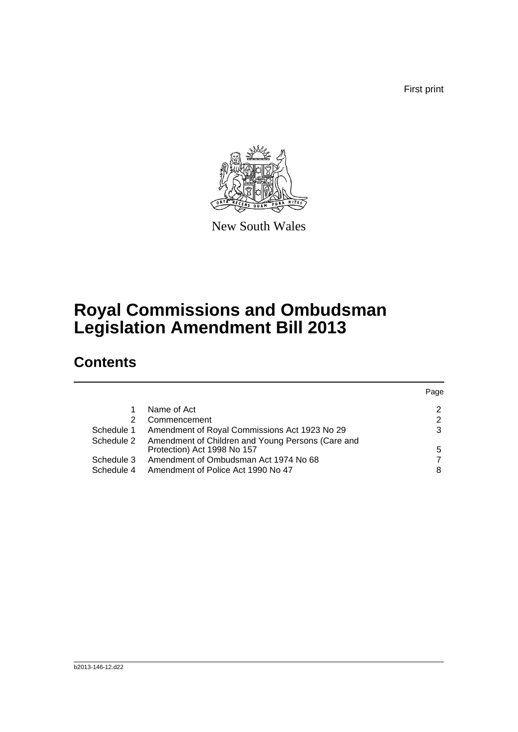First print



New South Wales

# **Royal Commissions and Ombudsman Legislation Amendment Bill 2013**

## **Contents**

|            |                                                                                  | Page |
|------------|----------------------------------------------------------------------------------|------|
|            | Name of Act                                                                      | 2    |
| 2          | Commencement                                                                     | 2    |
| Schedule 1 | Amendment of Royal Commissions Act 1923 No 29                                    | 3    |
| Schedule 2 | Amendment of Children and Young Persons (Care and<br>Protection) Act 1998 No 157 | 5    |
| Schedule 3 | Amendment of Ombudsman Act 1974 No 68                                            |      |
| Schedule 4 | Amendment of Police Act 1990 No 47                                               | 8    |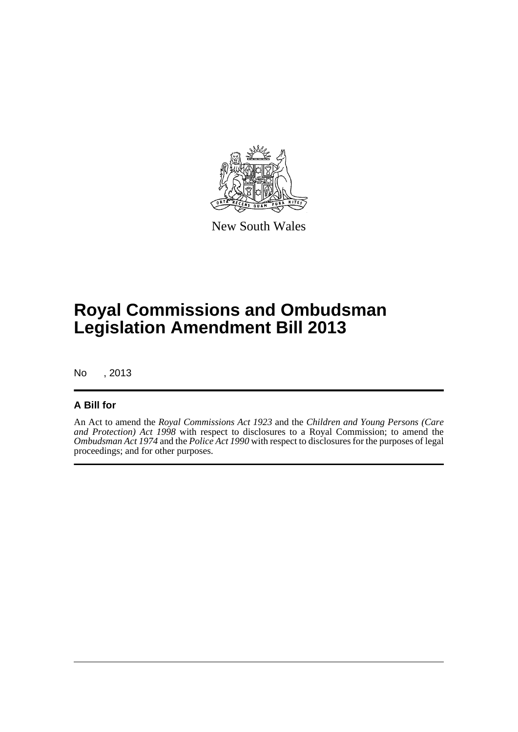

New South Wales

# **Royal Commissions and Ombudsman Legislation Amendment Bill 2013**

No , 2013

### **A Bill for**

An Act to amend the *Royal Commissions Act 1923* and the *Children and Young Persons (Care and Protection) Act 1998* with respect to disclosures to a Royal Commission; to amend the *Ombudsman Act 1974* and the *Police Act 1990* with respect to disclosures for the purposes of legal proceedings; and for other purposes.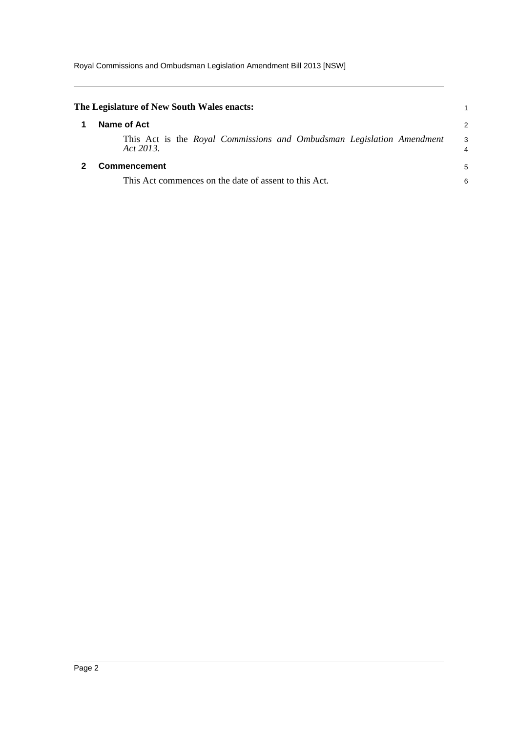<span id="page-5-1"></span><span id="page-5-0"></span>

| The Legislature of New South Wales enacts:                                         |        |  |  |
|------------------------------------------------------------------------------------|--------|--|--|
| Name of Act                                                                        | 2      |  |  |
| This Act is the Royal Commissions and Ombudsman Legislation Amendment<br>Act 2013. | 3<br>4 |  |  |
| Commencement                                                                       | 5      |  |  |
| This Act commences on the date of assent to this Act.                              |        |  |  |
|                                                                                    |        |  |  |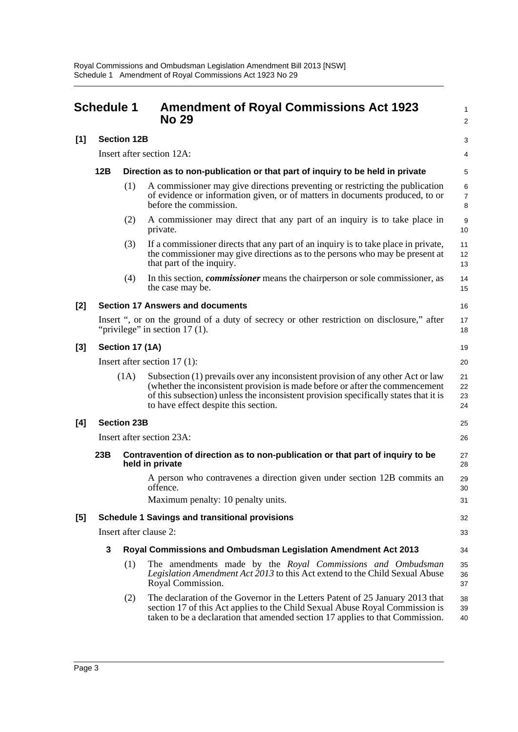<span id="page-6-0"></span>

| <b>Schedule 1</b> |                                                       |                    | <b>Amendment of Royal Commissions Act 1923</b><br><b>No 29</b>                                                                                                                                                                                                                                  | 1<br>2                   |
|-------------------|-------------------------------------------------------|--------------------|-------------------------------------------------------------------------------------------------------------------------------------------------------------------------------------------------------------------------------------------------------------------------------------------------|--------------------------|
| [1]               |                                                       | <b>Section 12B</b> |                                                                                                                                                                                                                                                                                                 | 3                        |
|                   | Insert after section 12A:                             |                    |                                                                                                                                                                                                                                                                                                 | 4                        |
|                   | 12B                                                   |                    | Direction as to non-publication or that part of inquiry to be held in private                                                                                                                                                                                                                   | 5                        |
|                   |                                                       | (1)                | A commissioner may give directions preventing or restricting the publication<br>of evidence or information given, or of matters in documents produced, to or<br>before the commission.                                                                                                          | 6<br>$\overline{7}$<br>8 |
|                   |                                                       | (2)                | A commissioner may direct that any part of an inquiry is to take place in<br>private.                                                                                                                                                                                                           | 9<br>10                  |
|                   |                                                       | (3)                | If a commissioner directs that any part of an inquiry is to take place in private,<br>the commissioner may give directions as to the persons who may be present at<br>that part of the inquiry.                                                                                                 | 11<br>12<br>13           |
|                   |                                                       | (4)                | In this section, <i>commissioner</i> means the chairperson or sole commissioner, as<br>the case may be.                                                                                                                                                                                         | 14<br>15                 |
| [2]               | <b>Section 17 Answers and documents</b>               |                    |                                                                                                                                                                                                                                                                                                 |                          |
|                   |                                                       |                    | Insert ", or on the ground of a duty of secrecy or other restriction on disclosure," after<br>"privilege" in section $17(1)$ .                                                                                                                                                                  | 17<br>18                 |
| $[3]$             | Section 17 (1A)                                       |                    |                                                                                                                                                                                                                                                                                                 |                          |
|                   | Insert after section $17(1)$ :                        |                    |                                                                                                                                                                                                                                                                                                 |                          |
|                   |                                                       | (1A)               | Subsection (1) prevails over any inconsistent provision of any other Act or law<br>(whether the inconsistent provision is made before or after the commencement<br>of this subsection) unless the inconsistent provision specifically states that it is<br>to have effect despite this section. | 21<br>22<br>23<br>24     |
| [4]               |                                                       | <b>Section 23B</b> |                                                                                                                                                                                                                                                                                                 | 25                       |
|                   | Insert after section 23A:                             |                    |                                                                                                                                                                                                                                                                                                 |                          |
|                   | 23B                                                   |                    | Contravention of direction as to non-publication or that part of inquiry to be<br>held in private                                                                                                                                                                                               | 27<br>28                 |
|                   |                                                       |                    | A person who contravenes a direction given under section 12B commits an<br>offence.                                                                                                                                                                                                             | 29<br>30                 |
|                   |                                                       |                    | Maximum penalty: 10 penalty units.                                                                                                                                                                                                                                                              | 31                       |
| [5]               | <b>Schedule 1 Savings and transitional provisions</b> |                    |                                                                                                                                                                                                                                                                                                 |                          |
|                   | Insert after clause 2:                                |                    |                                                                                                                                                                                                                                                                                                 |                          |
|                   | 3                                                     |                    | Royal Commissions and Ombudsman Legislation Amendment Act 2013                                                                                                                                                                                                                                  | 34                       |
|                   |                                                       | (1)                | The amendments made by the Royal Commissions and Ombudsman<br>Legislation Amendment Act 2013 to this Act extend to the Child Sexual Abuse<br>Royal Commission.                                                                                                                                  | 35<br>36<br>37           |
|                   |                                                       | (2)                | The declaration of the Governor in the Letters Patent of 25 January 2013 that<br>section 17 of this Act applies to the Child Sexual Abuse Royal Commission is<br>taken to be a declaration that amended section 17 applies to that Commission.                                                  | 38<br>39<br>40           |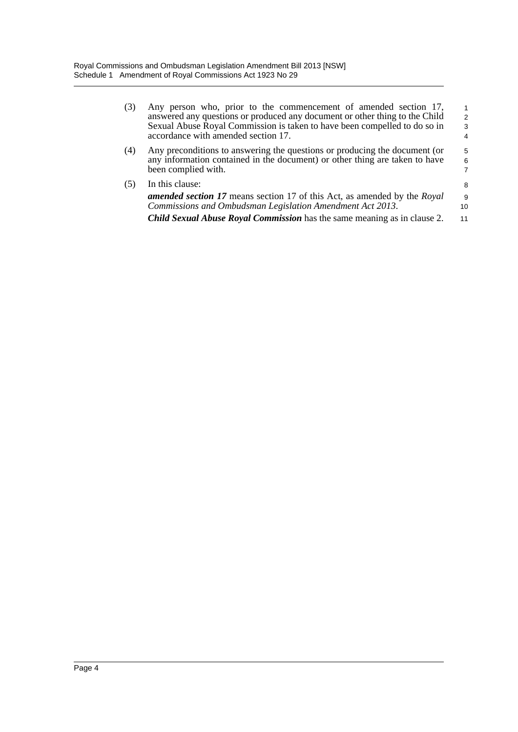| (3) | Any person who, prior to the commencement of amended section 17,<br>answered any questions or produced any document or other thing to the Child<br>Sexual Abuse Royal Commission is taken to have been compelled to do so in<br>accordance with amended section 17. | 1<br>$\overline{2}$<br>3<br>$\overline{4}$ |
|-----|---------------------------------------------------------------------------------------------------------------------------------------------------------------------------------------------------------------------------------------------------------------------|--------------------------------------------|
| (4) | Any preconditions to answering the questions or producing the document (or<br>any information contained in the document) or other thing are taken to have<br>been complied with.                                                                                    | 5<br>6<br>$\overline{7}$                   |
| (5) | In this clause:<br><b>amended section 17</b> means section 17 of this Act, as amended by the Royal<br>Commissions and Ombudsman Legislation Amendment Act 2013.<br><b>Child Sexual Abuse Royal Commission</b> has the same meaning as in clause 2.                  | 8<br>9<br>10<br>11                         |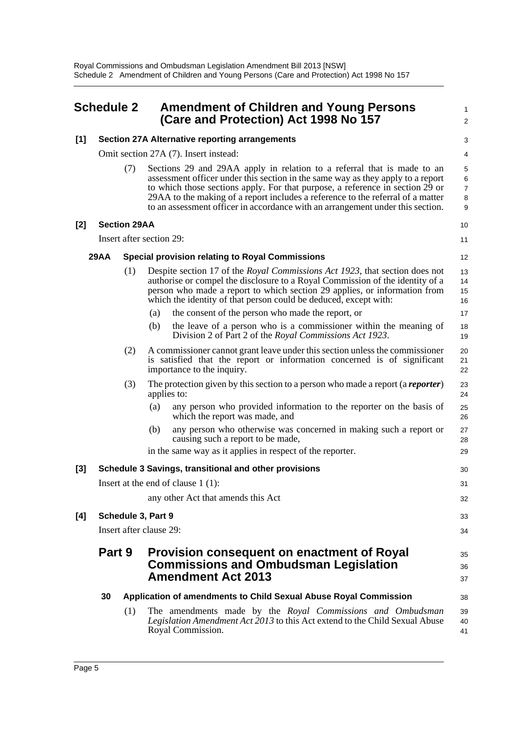<span id="page-8-0"></span>

| <b>Schedule 2</b> |                                                       |                     | <b>Amendment of Children and Young Persons</b><br>(Care and Protection) Act 1998 No 157                                                                                                                                                                                                                                                                                                                          |                       |  |
|-------------------|-------------------------------------------------------|---------------------|------------------------------------------------------------------------------------------------------------------------------------------------------------------------------------------------------------------------------------------------------------------------------------------------------------------------------------------------------------------------------------------------------------------|-----------------------|--|
| [1]               |                                                       |                     | <b>Section 27A Alternative reporting arrangements</b>                                                                                                                                                                                                                                                                                                                                                            |                       |  |
|                   |                                                       |                     | Omit section 27A (7). Insert instead:                                                                                                                                                                                                                                                                                                                                                                            | 4                     |  |
|                   |                                                       | (7)                 | Sections 29 and 29AA apply in relation to a referral that is made to an<br>assessment officer under this section in the same way as they apply to a report<br>to which those sections apply. For that purpose, a reference in section 29 or<br>29AA to the making of a report includes a reference to the referral of a matter<br>to an assessment officer in accordance with an arrangement under this section. | 5<br>6<br>7<br>8<br>9 |  |
| [2]               |                                                       | <b>Section 29AA</b> |                                                                                                                                                                                                                                                                                                                                                                                                                  | 10                    |  |
|                   |                                                       |                     | Insert after section 29:                                                                                                                                                                                                                                                                                                                                                                                         | 11                    |  |
|                   | <b>29AA</b>                                           |                     | <b>Special provision relating to Royal Commissions</b>                                                                                                                                                                                                                                                                                                                                                           | 12                    |  |
|                   |                                                       | (1)                 | Despite section 17 of the Royal Commissions Act 1923, that section does not<br>authorise or compel the disclosure to a Royal Commission of the identity of a<br>person who made a report to which section 29 applies, or information from<br>which the identity of that person could be deduced, except with:                                                                                                    | 13<br>14<br>15<br>16  |  |
|                   |                                                       |                     | the consent of the person who made the report, or<br>(a)                                                                                                                                                                                                                                                                                                                                                         | 17                    |  |
|                   |                                                       |                     | (b)<br>the leave of a person who is a commissioner within the meaning of<br>Division 2 of Part 2 of the Royal Commissions Act 1923.                                                                                                                                                                                                                                                                              | 18<br>19              |  |
|                   |                                                       | (2)                 | A commissioner cannot grant leave under this section unless the commissioner<br>is satisfied that the report or information concerned is of significant<br>importance to the inquiry.                                                                                                                                                                                                                            | 20<br>21<br>22        |  |
|                   |                                                       | (3)                 | The protection given by this section to a person who made a report (a <i>reporter</i> )<br>applies to:                                                                                                                                                                                                                                                                                                           | 23<br>24              |  |
|                   |                                                       |                     | any person who provided information to the reporter on the basis of<br>(a)<br>which the report was made, and                                                                                                                                                                                                                                                                                                     | 25<br>26              |  |
|                   |                                                       |                     | (b)<br>any person who otherwise was concerned in making such a report or<br>causing such a report to be made,                                                                                                                                                                                                                                                                                                    | 27<br>28              |  |
|                   |                                                       |                     | in the same way as it applies in respect of the reporter.                                                                                                                                                                                                                                                                                                                                                        | 29                    |  |
| [3]               | Schedule 3 Savings, transitional and other provisions |                     |                                                                                                                                                                                                                                                                                                                                                                                                                  | 30                    |  |
|                   |                                                       |                     | Insert at the end of clause $1(1)$ :                                                                                                                                                                                                                                                                                                                                                                             | 31                    |  |
|                   |                                                       |                     | any other Act that amends this Act                                                                                                                                                                                                                                                                                                                                                                               | 32                    |  |
| [4]               | Schedule 3, Part 9                                    |                     |                                                                                                                                                                                                                                                                                                                                                                                                                  | 33                    |  |
|                   | Insert after clause 29:                               |                     |                                                                                                                                                                                                                                                                                                                                                                                                                  | 34                    |  |
|                   | Part 9                                                |                     | <b>Provision consequent on enactment of Royal</b><br><b>Commissions and Ombudsman Legislation</b><br><b>Amendment Act 2013</b>                                                                                                                                                                                                                                                                                   | 35<br>36<br>37        |  |
|                   | 30                                                    |                     | Application of amendments to Child Sexual Abuse Royal Commission                                                                                                                                                                                                                                                                                                                                                 | 38                    |  |
|                   |                                                       | (1)                 | The amendments made by the Royal Commissions and Ombudsman<br>Legislation Amendment Act 2013 to this Act extend to the Child Sexual Abuse<br>Royal Commission.                                                                                                                                                                                                                                                   | 39<br>40<br>41        |  |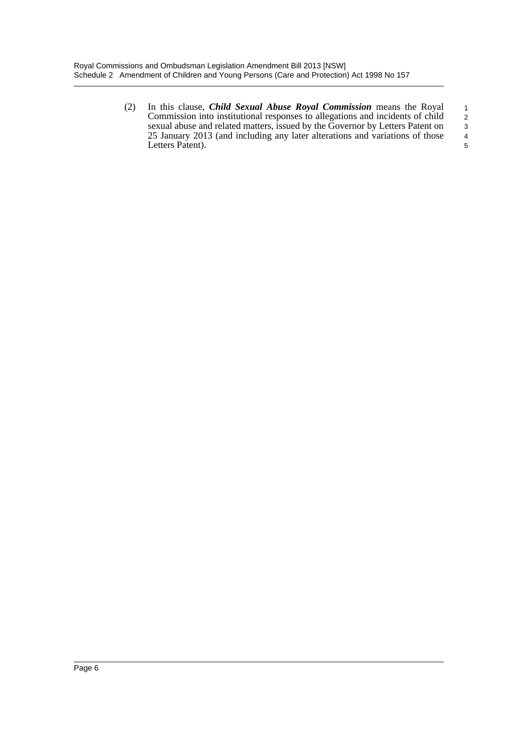(2) In this clause, *Child Sexual Abuse Royal Commission* means the Royal Commission into institutional responses to allegations and incidents of child sexual abuse and related matters, issued by the Governor by Letters Patent on 25 January 2013 (and including any later alterations and variations of those Letters Patent). 1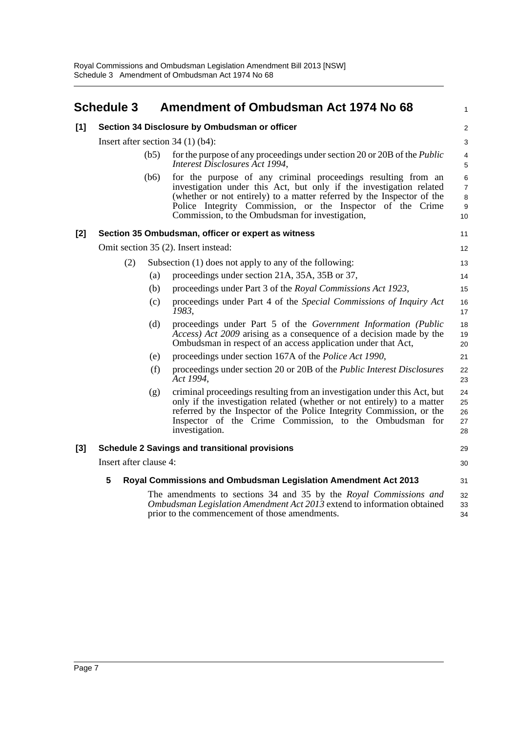<span id="page-10-0"></span>

|       | <b>Schedule 3</b>                                                   |      | Amendment of Ombudsman Act 1974 No 68                                                                                                                                                                                                                                                                                           | 1                          |
|-------|---------------------------------------------------------------------|------|---------------------------------------------------------------------------------------------------------------------------------------------------------------------------------------------------------------------------------------------------------------------------------------------------------------------------------|----------------------------|
| [1]   |                                                                     |      | Section 34 Disclosure by Ombudsman or officer                                                                                                                                                                                                                                                                                   | $\overline{\mathbf{c}}$    |
|       | Insert after section $34(1)(b4)$ :                                  |      |                                                                                                                                                                                                                                                                                                                                 |                            |
|       |                                                                     | (b5) | for the purpose of any proceedings under section 20 or 20B of the <i>Public</i><br>Interest Disclosures Act 1994,                                                                                                                                                                                                               | 4<br>5                     |
|       |                                                                     | (b6) | for the purpose of any criminal proceedings resulting from an<br>investigation under this Act, but only if the investigation related<br>(whether or not entirely) to a matter referred by the Inspector of the<br>Police Integrity Commission, or the Inspector of the Crime<br>Commission, to the Ombudsman for investigation, | 6<br>7<br>8<br>9<br>10     |
| $[2]$ |                                                                     |      | Section 35 Ombudsman, officer or expert as witness                                                                                                                                                                                                                                                                              | 11                         |
|       |                                                                     |      | Omit section 35 (2). Insert instead:                                                                                                                                                                                                                                                                                            | 12                         |
|       | (2)                                                                 |      | Subsection (1) does not apply to any of the following:                                                                                                                                                                                                                                                                          | 13                         |
|       |                                                                     | (a)  | proceedings under section 21A, 35A, 35B or 37,                                                                                                                                                                                                                                                                                  | 14                         |
|       |                                                                     | (b)  | proceedings under Part 3 of the Royal Commissions Act 1923,                                                                                                                                                                                                                                                                     | 15                         |
|       |                                                                     | (c)  | proceedings under Part 4 of the Special Commissions of Inquiry Act<br>1983,                                                                                                                                                                                                                                                     | 16<br>17                   |
|       |                                                                     | (d)  | proceedings under Part 5 of the Government Information (Public<br><i>Access</i> ) <i>Act 2009</i> arising as a consequence of a decision made by the<br>Ombudsman in respect of an access application under that Act,                                                                                                           | 18<br>19<br>20             |
|       |                                                                     | (e)  | proceedings under section 167A of the Police Act 1990,                                                                                                                                                                                                                                                                          | 21                         |
|       |                                                                     | (f)  | proceedings under section 20 or 20B of the <i>Public Interest Disclosures</i><br>Act 1994,                                                                                                                                                                                                                                      | 22<br>23                   |
|       |                                                                     | (g)  | criminal proceedings resulting from an investigation under this Act, but<br>only if the investigation related (whether or not entirely) to a matter<br>referred by the Inspector of the Police Integrity Commission, or the<br>Inspector of the Crime Commission, to the Ombudsman for<br>investigation.                        | 24<br>25<br>26<br>27<br>28 |
| $[3]$ | <b>Schedule 2 Savings and transitional provisions</b>               |      |                                                                                                                                                                                                                                                                                                                                 |                            |
|       | Insert after clause 4:                                              |      |                                                                                                                                                                                                                                                                                                                                 |                            |
|       | 5<br>Royal Commissions and Ombudsman Legislation Amendment Act 2013 |      |                                                                                                                                                                                                                                                                                                                                 |                            |
|       |                                                                     |      | The amendments to sections 34 and 35 by the Royal Commissions and<br>Ombudsman Legislation Amendment Act 2013 extend to information obtained<br>prior to the commencement of those amendments.                                                                                                                                  | 32<br>33<br>34             |